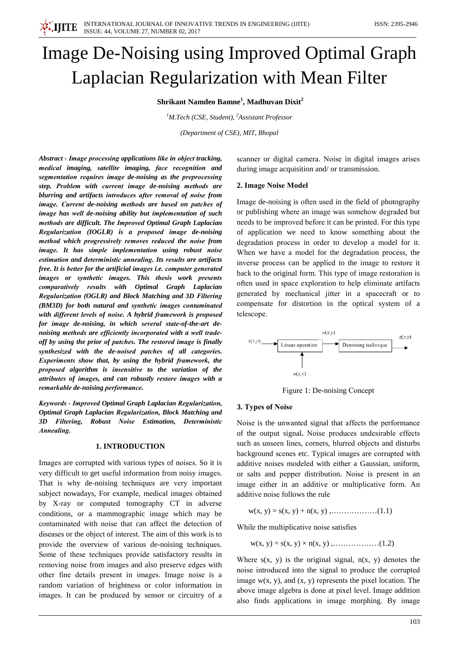# Image De-Noising using Improved Optimal Graph Laplacian Regularization with Mean Filter

Shrikant Namdeo Bamne<sup>1</sup>, Madhuvan Dixit<sup>2</sup>

<sup>1</sup>M.Tech (CSE, Student), <sup>2</sup>Assistant Professor

(Department of CSE), MIT, Bhopal

Abstract - Image processing applications like in object tracking. medical imaging, satellite imaging, face recognition and segmentation requires image de-noising as the preprocessing step. Problem with current image de-noising methods are blurring and artifacts introduces after removal of noise from image. Current de-noising methods are based on patches of image has well de-noising ability but implementation of such methods are difficult. The Improved Optimal Graph Laplacian Regularization (IOGLR) is a proposed image de-noising method which progressively removes reduced the noise from image. It has simple implementation using robust noise estimation and deterministic annealing. Its results are artifacts free. It is better for the artificial images i.e. computer generated images or synthetic images. This thesis work presents comparatively results with Optimal Graph Laplacian Regularization (OGLR) and Block Matching and 3D Filtering (BM3D) for both natural and synthetic images contaminated with different levels of noise. A hybrid framework is proposed for image de-noising, in which several state-of-the-art denoising methods are efficiently incorporated with a well tradeoff by using the prior of patches. The restored image is finally synthesized with the de-noised patches of all categories. Experiments show that, by using the hybrid framework, the proposed algorithm is insensitive to the variation of the attributes of images, and can robustly restore images with a remarkable de-noising performance.

Keywords - Improved Optimal Graph Laplacian Regularization, Optimal Graph Laplacian Regularization, Block Matching and 3D Filtering, Robust Noise Estimation, Deterministic Annealing.

## **1. INTRODUCTION**

Images are corrupted with various types of noises. So it is very difficult to get useful information from noisy images. That is why de-noising techniques are very important subject nowadays, For example, medical images obtained by X-ray or computed tomography CT in adverse conditions, or a mammographic image which may be contaminated with noise that can affect the detection of diseases or the object of interest. The aim of this work is to provide the overview of various de-noising techniques. Some of these techniques provide satisfactory results in removing noise from images and also preserve edges with other fine details present in images. Image noise is a random variation of brightness or color information in images. It can be produced by sensor or circuitry of a

scanner or digital camera. Noise in digital images arises during image acquisition and/ or transmission.

#### 2. Image Noise Model

Image de-noising is often used in the field of photography or publishing where an image was somehow degraded but needs to be improved before it can be printed. For this type of application we need to know something about the degradation process in order to develop a model for it. When we have a model for the degradation process, the inverse process can be applied to the image to restore it back to the original form. This type of image restoration is often used in space exploration to help eliminate artifacts generated by mechanical jitter in a spacecraft or to compensate for distortion in the optical system of a telescope.



Figure 1: De-noising Concept

## 3. Types of Noise

Noise is the unwanted signal that affects the performance of the output signal. Noise produces undesirable effects such as unseen lines, corners, blurred objects and disturbs background scenes etc. Typical images are corrupted with additive noises modeled with either a Gaussian, uniform, or salts and pepper distribution. Noise is present in an image either in an additive or multiplicative form. An additive noise follows the rule

While the multiplicative noise satisfies

$$
w(x, y) = s(x, y) \times n(x, y)
$$
,.................(1.2)

Where  $s(x, y)$  is the original signal,  $n(x, y)$  denotes the noise introduced into the signal to produce the corrupted image  $w(x, y)$ , and  $(x, y)$  represents the pixel location. The above image algebra is done at pixel level. Image addition also finds applications in image morphing. By image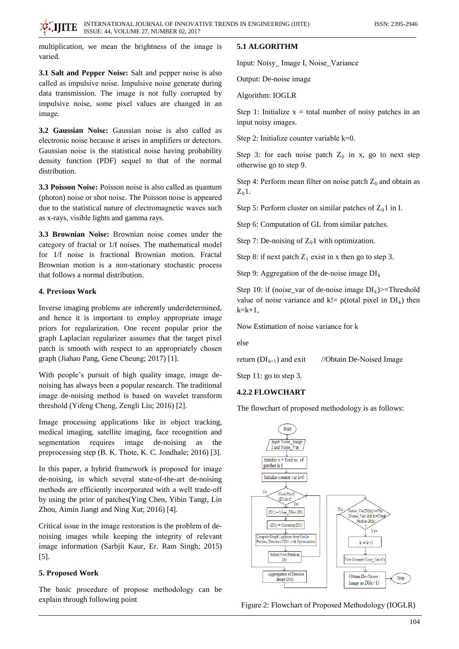multiplication, we mean the brightness of the image is varied.

3.1 Salt and Pepper Noise: Salt and pepper noise is also called as impulsive noise. Impulsive noise generate during data transmission. The image is not fully corrupted by impulsive noise, some pixel values are changed in an image.

3.2 Gaussian Noise: Gaussian noise is also called as electronic noise because it arises in amplifiers or detectors. Gaussian noise is the statistical noise having probability density function (PDF) sequel to that of the normal distribution.

3.3 Poisson Noise: Poisson noise is also called as quantum (photon) noise or shot noise. The Poisson noise is appeared due to the statistical nature of electromagnetic waves such as x-rays, visible lights and gamma rays.

3.3 Brownian Noise: Brownian noise comes under the category of fractal or 1/f noises. The mathematical model for 1/f noise is fractional Brownian motion. Fractal Brownian motion is a non-stationary stochastic process that follows a normal distribution.

## 4. Previous Work

Inverse imaging problems are inherently underdetermined, and hence it is important to employ appropriate image priors for regularization. One recent popular prior the graph Laplacian regularizer assumes that the target pixel patch is smooth with respect to an appropriately chosen graph (Jiahao Pang, Gene Cheung; 2017) [1].

With people's pursuit of high quality image, image denoising has always been a popular research. The traditional image de-noising method is based on wavelet transform threshold (Yifeng Cheng, Zengli Liu; 2016) [2].

Image processing applications like in object tracking, medical imaging, satellite imaging, face recognition and segmentation requires image de-noising as the preprocessing step (B. K. Thote, K. C. Jondhale; 2016) [3].

In this paper, a hybrid framework is proposed for image de-noising, in which several state-of-the-art de-noising methods are efficiently incorporated with a well trade-off by using the prior of patches (Ying Chen, Yibin Tangt, Lin Zhou, Aimin Jiangt and Ning Xut; 2016) [4].

Critical issue in the image restoration is the problem of denoising images while keeping the integrity of relevant image information (Sarbjit Kaur, Er. Ram Singh; 2015)  $[5]$ .

## 5. Proposed Work

The basic procedure of propose methodology can be explain through following point

# 5.1 ALGORITHM

Input: Noisy\_Image I, Noise\_Variance

Output: De-noise image

Algorithm: IOGLR

Step 1: Initialize  $x =$  total number of noisy patches in an input noisy images.

Step 2: Initialize counter variable  $k=0$ .

Step 3: for each noise patch  $Z_0$  in x, go to next step otherwise go to step 9.

Step 4: Perform mean filter on noise patch  $Z_0$  and obtain as  $Z_0$ 1.

Step 5: Perform cluster on similar patches of  $Z_0$ 1 in I.

Step 6: Computation of GL from similar patches.

Step 7: De-noising of  $Z_0$ 1 with optimization.

Step 8: if next patch  $Z_1$  exist in x then go to step 3.

Step 9: Aggregation of the de-noise image  $DI_k$ 

Step 10: if (noise\_var of de-noise image  $DI_k$ )>=Threshold value of noise variance and k!=  $p$ (total pixel in  $DI_k$ ) then  $k=k+1$ .

Now Estimation of noise variance for k

else

| //Obtain De-Noised Image<br>return $(DI_{k+1})$ and exit |
|----------------------------------------------------------|
|----------------------------------------------------------|

Step 11: go to step 3.

## **4.2.2 FLOWCHART**

The flowchart of proposed methodology is as follows:



Figure 2: Flowchart of Proposed Methodology (IOGLR)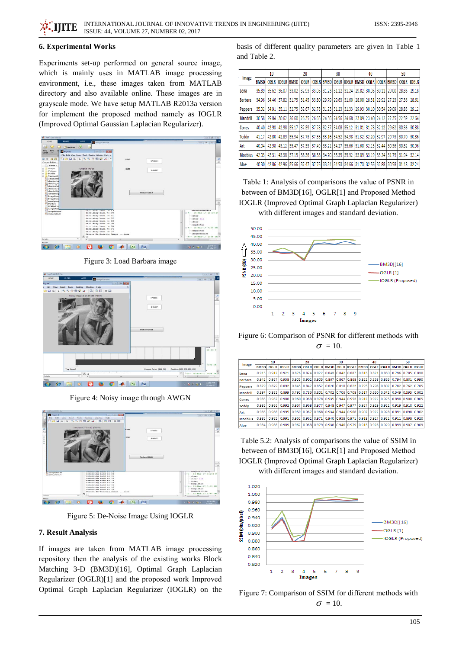## **6. Experimental Works**

Experiments set-up performed on general source image, which is mainly uses in MATLAB image processing environment, i.e., these images taken from MATLAB directory and also available online. These images are in grayscale mode. We have setup MATLAB R2013a version for implement the proposed method namely as IOGLR (Improved Optimal Gaussian Laplacian Regularizer).



Figure 3: Load Barbara image



Figure 4: Noisy image through AWGN



Figure 5: De-Noise Image Using IOGLR

#### 7. Result Analysis

If images are taken from MATLAB image processing repository then the analysis of the existing works Block Matching 3-D (BM3D)[16], Optimal Graph Laplacian Regularizer (OGLR)[1] and the proposed work Improved Optimal Graph Laplacian Regularizer (IOGLR) on the basis of different quality parameters are given in Table 1 and Table 2.

| Image           | 10    |             |              | 20          |       |                               | 30               |                   |                   | 40                                              |             |                   | 50                                                          |             |              |
|-----------------|-------|-------------|--------------|-------------|-------|-------------------------------|------------------|-------------------|-------------------|-------------------------------------------------|-------------|-------------------|-------------------------------------------------------------|-------------|--------------|
|                 | BM3D  | <b>OGLR</b> | <b>IOGLR</b> | BM3D        |       | <b>OGLR IOGLR</b>             | BM <sub>3D</sub> |                   | <b>OGLR IOGLR</b> | BM <sub>3D</sub>                                |             | <b>OGLR IOGLR</b> | BM3D                                                        | <b>OGLR</b> | <b>IOGLR</b> |
| Lena            | 35.89 | 35.62       | 36.07        | 33.02       | 32.93 | 33.06                         |                  |                   | 31.23 31.22 31.24 | 29.82                                           | 30.06       | 30.11             | 29.00                                                       | 28.86       | 29.18        |
| <b>Barbara</b>  | 34.96 | 34.46       | 37.82        | 31.75       |       |                               |                  |                   |                   | 31.45 33.80 29.79 29.63 31.60 28.00 28.31 29.92 |             |                   | 27.23                                                       | 27.36       | 28.61        |
| <b>Peppers</b>  | 35.02 | 34.91       | 35.11        | 32.75       | 32.67 | 32.78                         |                  | 31.23 31.23 31.33 |                   | 29.93                                           | 30.10       | 30.54             | 29.09                                                       | 28.83       | 29.12        |
| <b>Mandrill</b> | 30.58 | 29.84       | 30.62        | 26.60       | 26.35 |                               |                  |                   |                   | 126.66 24.56 24.56 24.68 23.09 23.40 24.12      |             |                   | 22.35                                                       | 22.59       | 22.64        |
| Cones           | 40.40 | 42.93       | 42.98 35.17  |             | 37.39 | 37.78   32.57   34.08   35.12 |                  |                   |                   | 31.01 31.78 32.12                               |             |                   | 29.62                                                       | 30.36       | 30.88        |
| <b>Teddy</b>    | 41.17 | 42.80       | 42.89        | 35.94       | 37.73 | 37.86                         |                  | 33.16 34.52 34.98 |                   | 31.32                                           | 32.20       | 32.97             | 29.73                                                       | 30.70       | 30.86        |
| Art             | 40.04 | 42.98       | 43.12        | 35.47       | 37.33 | 37.49                         |                  |                   | 33.21 34.27 35.66 | 31.60 32.15 32.44                               |             |                   | 30.36                                                       | 30.82       | 30.96        |
| <b>Moebius</b>  | 42.03 | 43.31       |              | 43.38 37.15 |       |                               |                  |                   |                   |                                                 |             |                   | 38.36 38.38 34.70 35.35 35.92 33.09 33.19 33.24 31.75 31.94 |             | 32.14        |
| Aloe            | 40.30 | 42.86       | 42.96        | 35.66       | 37.47 | 37.76                         |                  |                   | 33.31 34.53 34.66 |                                                 | 31.73 32.56 | 32.88             | 30.58                                                       | 31.18       | 32.24        |

Table 1: Analysis of comparisons the value of PSNR in between of BM3D[16], OGLR[1] and Proposed Method **IOGLR** (Improved Optimal Graph Laplacian Regularizer) with different images and standard deviation.



Figure 6: Comparison of PSNR for different methods with  $\sigma = 10$ .

| Image           | 10    |             |              | 20    |                   |                   | 30                                  |                   |                                                       | 40    |       |                 | 50                  |                   |                   |
|-----------------|-------|-------------|--------------|-------|-------------------|-------------------|-------------------------------------|-------------------|-------------------------------------------------------|-------|-------|-----------------|---------------------|-------------------|-------------------|
|                 | BM3D  | <b>OGLR</b> | <b>IOGLR</b> |       |                   |                   | <b>BM3D   OGLR   IOGLR   BM3D  </b> |                   | OGLR IOGLR BM3D                                       |       |       |                 | OGLR   IOGLR   BM3D |                   | <b>OGLR IOGLR</b> |
| Lena            | 0.915 | 0.912       | 0.921        |       | $0.876$ $0.874$   | 0.922             |                                     | 0.843 0.842 0.887 |                                                       | 0.813 | 0.821 | 0.860           | 0.796               | 10.785            | 0.830             |
| <b>Barbara</b>  | 0.942 | 0.937       | 0.958        |       | $0.905$ $0.902$   | 0.905             | 0.867                               |                   | 0.867 0.868 0.822                                     |       | 0.838 | 0.863           | 0.794 0.801         |                   | 0.990             |
| <b>Peppers</b>  | 0.879 | 0.879       | 0.892        |       | $0.845$ $0.842$   | 0.852             | 0.820 0.818 0.822                   |                   |                                                       | 0.795 | 0.798 | 0.802           | 0.782 0.762         |                   | 0.785             |
| <b>Mandrill</b> | 0.897 | 0.883       | 0.8991       |       | 0.792 0.786 0.801 |                   |                                     |                   | 0.702 0.706 0.708 0.617 0.650                         |       |       | 0.672           |                     | 0.549 0.595 0.602 |                   |
| Cones           | 0.983 | 0.987       | 0.988        |       |                   | 0.960 0.968 0.978 |                                     |                   | 0.935 0.944 0.953 0.912                               |       |       | $0.922$ $0.925$ |                     | 0.898 0.900 0.905 |                   |
| <b>Teddy</b>    | 0.985 | 0.986       | 0.992        | 0.967 | 0.968             | 0.977             | $0.948$ 0.947                       |                   | 0.977                                                 | 0.927 | 0.929 | 0.932           | 0.919               | 0.910             | 0.922             |
| Art             | 0.983 | 0.988       | 0.995        |       |                   |                   |                                     |                   | 0.959 0.967 0.968 0.934 0.944 0.968 0.907 0.922 0.928 |       |       |                 |                     | 0.891 0.898 0.902 |                   |
| <b>Moebius</b>  | 0.983 | 0.985       | 0.991        |       | 0.962 0.962       | 0.971             |                                     | 0.940 0.938 0.971 |                                                       | 0.918 | 0.917 | 0.921           | 0.911               | 0.898             | 0.920             |
| Aloe            | 0.984 | 0.988       | 0.989        |       |                   |                   |                                     |                   | 0.962 0.968 0.979 0.938 0.946 0.979 0.913 0.928 0.929 |       |       |                 |                     | $0.899$ $0.907$   | 0.909             |

Table 5.2: Analysis of comparisons the value of SSIM in between of BM3D[16], OGLR[1] and Proposed Method **IOGLR** (Improved Optimal Graph Laplacian Regularizer) with different images and standard deviation.



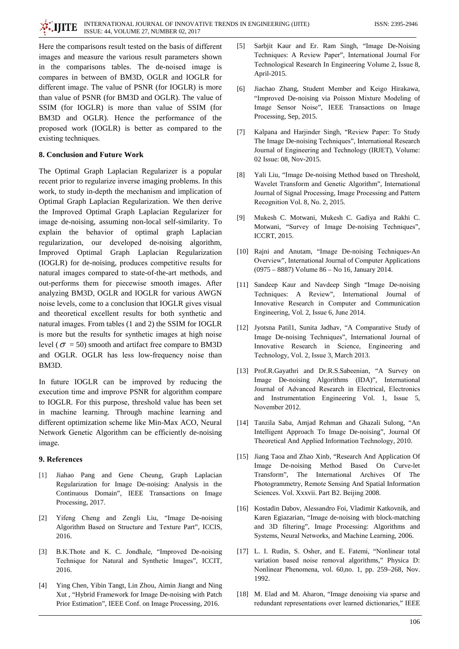Here the comparisons result tested on the basis of different images and measure the various result parameters shown in the comparisons tables. The de-noised image is compares in between of BM3D, OGLR and IOGLR for different image. The value of PSNR (for IOGLR) is more than value of PSNR (for BM3D and OGLR). The value of SSIM (for IOGLR) is more than value of SSIM (for BM3D and OGLR). Hence the performance of the proposed work (IOGLR) is better as compared to the existing techniques.

## 8. Conclusion and Future Work

The Optimal Graph Laplacian Regularizer is a popular recent prior to regularize inverse imaging problems. In this work, to study in-depth the mechanism and implication of Optimal Graph Laplacian Regularization. We then derive the Improved Optimal Graph Laplacian Regularizer for image de-noising, assuming non-local self-similarity. To explain the behavior of optimal graph Laplacian regularization, our developed de-noising algorithm, Improved Optimal Graph Laplacian Regularization (IOGLR) for de-noising, produces competitive results for natural images compared to state-of-the-art methods, and out-performs them for piecewise smooth images. After analyzing BM3D, OGLR and IOGLR for various AWGN noise levels, come to a conclusion that IOGLR gives visual and theoretical excellent results for both synthetic and natural images. From tables (1 and 2) the SSIM for IOGLR is more but the results for synthetic images at high noise level ( $\sigma$  = 50) smooth and artifact free compare to BM3D and OGLR. OGLR has less low-frequency noise than BM<sub>3</sub>D.

In future IOGLR can be improved by reducing the execution time and improve PSNR for algorithm compare to IOGLR. For this purpose, threshold value has been set in machine learning. Through machine learning and different optimization scheme like Min-Max ACO, Neural Network Genetic Algorithm can be efficiently de-noising image.

## 9. References

- Jiahao Pang and Gene Cheung, Graph Laplacian  $[1]$ Regularization for Image De-noising: Analysis in the Continuous Domain", IEEE Transactions on Image Processing, 2017.
- Yifeng Cheng and Zengli Liu, "Image De-noising  $\lceil 2 \rceil$ Algorithm Based on Structure and Texture Part", ICCIS, 2016.
- B.K.Thote and K. C. Jondhale, "Improved De-noising  $\lceil 3 \rceil$ Technique for Natural and Synthetic Images", ICCIT, 2016.
- $[4]$ Ying Chen, Yibin Tangt, Lin Zhou, Aimin Jiangt and Ning Xut, "Hybrid Framework for Image De-noising with Patch Prior Estimation", IEEE Conf. on Image Processing, 2016.
- Sarbjit Kaur and Er. Ram Singh, "Image De-Noising  $[5]$ Techniques: A Review Paper", International Journal For Technological Research In Engineering Volume 2, Issue 8, April-2015.
- $[6]$ Jiachao Zhang, Student Member and Keigo Hirakawa, "Improved De-noising via Poisson Mixture Modeling of Image Sensor Noise", IEEE Transactions on Image Processing, Sep, 2015.
- Kalpana and Harjinder Singh, "Review Paper: To Study  $\sqrt{71}$ The Image De-noising Techniques", International Research Journal of Engineering and Technology (IRJET), Volume: 02 Issue: 08, Nov-2015.
- [8] Yali Liu, "Image De-noising Method based on Threshold, Wavelet Transform and Genetic Algorithm", International Journal of Signal Processing, Image Processing and Pattern Recognition Vol. 8, No. 2, 2015.
- Mukesh C. Motwani, Mukesh C. Gadiya and Rakhi C.  $[9]$ Motwani, "Survey of Image De-noising Techniques", **ICCRT, 2015.**
- [10] Rajni and Anutam, "Image De-noising Techniques-An Overview", International Journal of Computer Applications (0975 – 8887) Volume 86 – No 16, January 2014.
- [11] Sandeep Kaur and Navdeep Singh "Image De-noising Techniques: A Review", International Journal of Innovative Research in Computer and Communication Engineering, Vol. 2, Issue 6, June 2014.
- [12] Jyotsna Patil1, Sunita Jadhav, "A Comparative Study of Image De-noising Techniques", International Journal of Innovative Research in Science, Engineering and Technology, Vol. 2, Issue 3, March 2013.
- [13] Prof.R.Gayathri and Dr.R.S.Sabeenian, "A Survey on Image De-noising Algorithms (IDA)", International Journal of Advanced Research in Electrical, Electronics and Instrumentation Engineering Vol. 1, Issue 5, November 2012.
- [14] Tanzila Saba, Amjad Rehman and Ghazali Sulong, "An Intelligent Approach To Image De-noising", Journal Of Theoretical And Applied Information Technology, 2010.
- [15] Jiang Taoa and Zhao Xinb, "Research And Application Of Image De-noising Method Based On Curve-let Transform", The International Archives Of The Photogrammetry, Remote Sensing And Spatial Information Sciences. Vol. Xxxvii. Part B2. Beijing 2008.
- [16] Kostadin Dabov, Alessandro Foi, Vladimir Katkovnik, and Karen Egiazarian, "Image de-noising with block-matching and 3D filtering", Image Processing: Algorithms and Systems, Neural Networks, and Machine Learning, 2006.
- [17] L. I. Rudin, S. Osher, and E. Fatemi, "Nonlinear total variation based noise removal algorithms," Physica D: Nonlinear Phenomena, vol. 60,no. 1, pp. 259-268, Nov. 1992.
- [18] M. Elad and M. Aharon, "Image denoising via sparse and redundant representations over learned dictionaries," IEEE